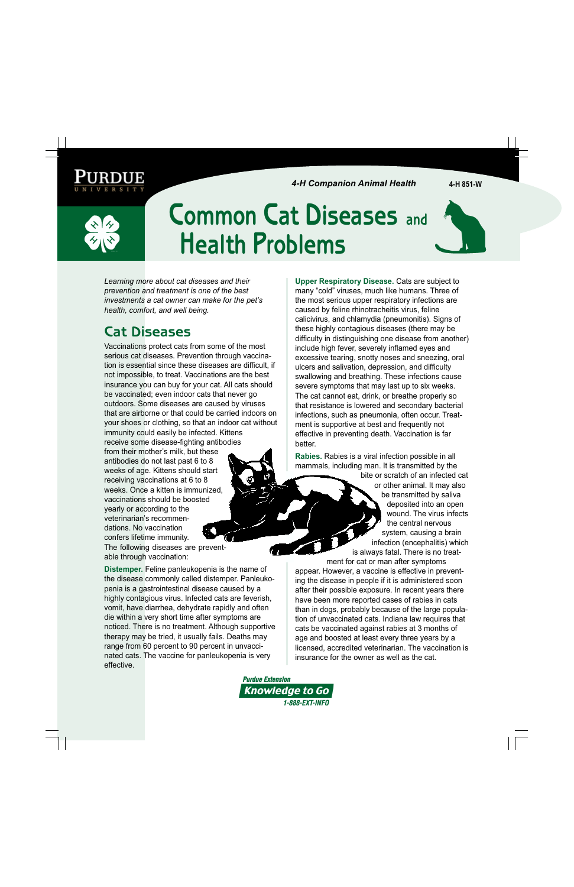*4-H Companion Animal Health* **4-H 851-W**

# **Common Cat Diseases and Health Problems**



*Learning more about cat diseases and their prevention and treatment is one of the best investments a cat owner can make for the pet's health, comfort, and well being.*

## **Cat Diseases**

Vaccinations protect cats from some of the most serious cat diseases. Prevention through vaccination is essential since these diseases are difficult, if not impossible, to treat. Vaccinations are the best insurance you can buy for your cat. All cats should be vaccinated; even indoor cats that never go outdoors. Some diseases are caused by viruses that are airborne or that could be carried indoors on your shoes or clothing, so that an indoor cat without immunity could easily be infected. Kittens receive some disease-fighting antibodies

from their mother's milk, but these antibodies do not last past 6 to 8 weeks of age. Kittens should start receiving vaccinations at 6 to 8 weeks. Once a kitten is immunized, vaccinations should be boosted yearly or according to the veterinarian's recommendations. No vaccination confers lifetime immunity. The following diseases are preventable through vaccination:

**Distemper.** Feline panleukopenia is the name of the disease commonly called distemper. Panleukopenia is a gastrointestinal disease caused by a highly contagious virus. Infected cats are feverish, vomit, have diarrhea, dehydrate rapidly and often die within a very short time after symptoms are noticed. There is no treatment. Although supportive therapy may be tried, it usually fails. Deaths may range from 60 percent to 90 percent in unvaccinated cats. The vaccine for panleukopenia is very effective.

**Upper Respiratory Disease.** Cats are subject to many "cold" viruses, much like humans. Three of the most serious upper respiratory infections are caused by feline rhinotracheitis virus, feline calicivirus, and chlamydia (pneumonitis). Signs of these highly contagious diseases (there may be difficulty in distinguishing one disease from another) include high fever, severely inflamed eyes and excessive tearing, snotty noses and sneezing, oral ulcers and salivation, depression, and difficulty swallowing and breathing. These infections cause severe symptoms that may last up to six weeks. The cat cannot eat, drink, or breathe properly so that resistance is lowered and secondary bacterial infections, such as pneumonia, often occur. Treatment is supportive at best and frequently not effective in preventing death. Vaccination is far better.

**Rabies.** Rabies is a viral infection possible in all mammals, including man. It is transmitted by the

bite or scratch of an infected cat or other animal. It may also be transmitted by saliva deposited into an open wound. The virus infects the central nervous system, causing a brain infection (encephalitis) which is always fatal. There is no treat-

ment for cat or man after symptoms appear. However, a vaccine is effective in preventing the disease in people if it is administered soon after their possible exposure. In recent years there have been more reported cases of rabies in cats than in dogs, probably because of the large population of unvaccinated cats. Indiana law requires that cats be vaccinated against rabies at 3 months of age and boosted at least every three years by a licensed, accredited veterinarian. The vaccination is insurance for the owner as well as the cat.

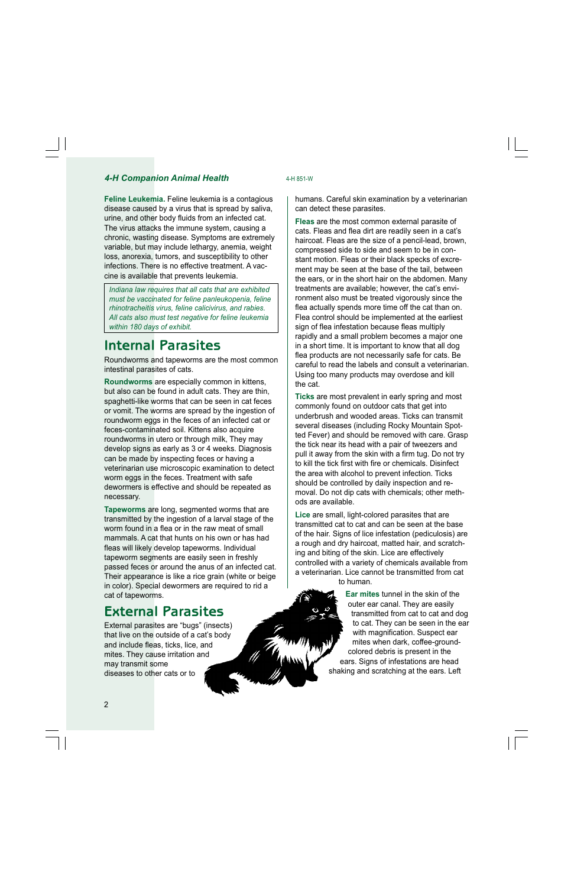#### **4-H Companion Animal Health** 4-H 851-W

**Feline Leukemia.** Feline leukemia is a contagious disease caused by a virus that is spread by saliva, urine, and other body fluids from an infected cat. The virus attacks the immune system, causing a chronic, wasting disease. Symptoms are extremely variable, but may include lethargy, anemia, weight loss, anorexia, tumors, and susceptibility to other infections. There is no effective treatment. A vaccine is available that prevents leukemia.

*Indiana law requires that all cats that are exhibited must be vaccinated for feline panleukopenia, feline rhinotracheitis virus, feline calicivirus, and rabies. All cats also must test negative for feline leukemia within 180 days of exhibit.*

#### **Internal Parasites**

Roundworms and tapeworms are the most common intestinal parasites of cats.

**Roundworms** are especially common in kittens, but also can be found in adult cats. They are thin, spaghetti-like worms that can be seen in cat feces or vomit. The worms are spread by the ingestion of roundworm eggs in the feces of an infected cat or feces-contaminated soil. Kittens also acquire roundworms in utero or through milk, They may develop signs as early as 3 or 4 weeks. Diagnosis can be made by inspecting feces or having a veterinarian use microscopic examination to detect worm eggs in the feces. Treatment with safe dewormers is effective and should be repeated as necessary.

**Tapeworms** are long, segmented worms that are transmitted by the ingestion of a larval stage of the worm found in a flea or in the raw meat of small mammals. A cat that hunts on his own or has had fleas will likely develop tapeworms. Individual tapeworm segments are easily seen in freshly passed feces or around the anus of an infected cat. Their appearance is like a rice grain (white or beige in color). Special dewormers are required to rid a cat of tapeworms.

#### **External Parasites**

External parasites are "bugs" (insects) that live on the outside of a cat's body and include fleas, ticks, lice, and mites. They cause irritation and may transmit some diseases to other cats or to

humans. Careful skin examination by a veterinarian can detect these parasites.

**Fleas** are the most common external parasite of cats. Fleas and flea dirt are readily seen in a cat's haircoat. Fleas are the size of a pencil-lead, brown, compressed side to side and seem to be in constant motion. Fleas or their black specks of excrement may be seen at the base of the tail, between the ears, or in the short hair on the abdomen. Many treatments are available; however, the cat's environment also must be treated vigorously since the flea actually spends more time off the cat than on. Flea control should be implemented at the earliest sign of flea infestation because fleas multiply rapidly and a small problem becomes a major one in a short time. It is important to know that all dog flea products are not necessarily safe for cats. Be careful to read the labels and consult a veterinarian. Using too many products may overdose and kill the cat.

**Ticks** are most prevalent in early spring and most commonly found on outdoor cats that get into underbrush and wooded areas. Ticks can transmit several diseases (including Rocky Mountain Spotted Fever) and should be removed with care. Grasp the tick near its head with a pair of tweezers and pull it away from the skin with a firm tug. Do not try to kill the tick first with fire or chemicals. Disinfect the area with alcohol to prevent infection. Ticks should be controlled by daily inspection and removal. Do not dip cats with chemicals; other methods are available.

**Lice** are small, light-colored parasites that are transmitted cat to cat and can be seen at the base of the hair. Signs of lice infestation (pediculosis) are a rough and dry haircoat, matted hair, and scratching and biting of the skin. Lice are effectively controlled with a variety of chemicals available from a veterinarian. Lice cannot be transmitted from cat to human.

> **Ear mites** tunnel in the skin of the outer ear canal. They are easily transmitted from cat to cat and dog to cat. They can be seen in the ear with magnification. Suspect ear mites when dark, coffee-groundcolored debris is present in the ears. Signs of infestations are head shaking and scratching at the ears. Left